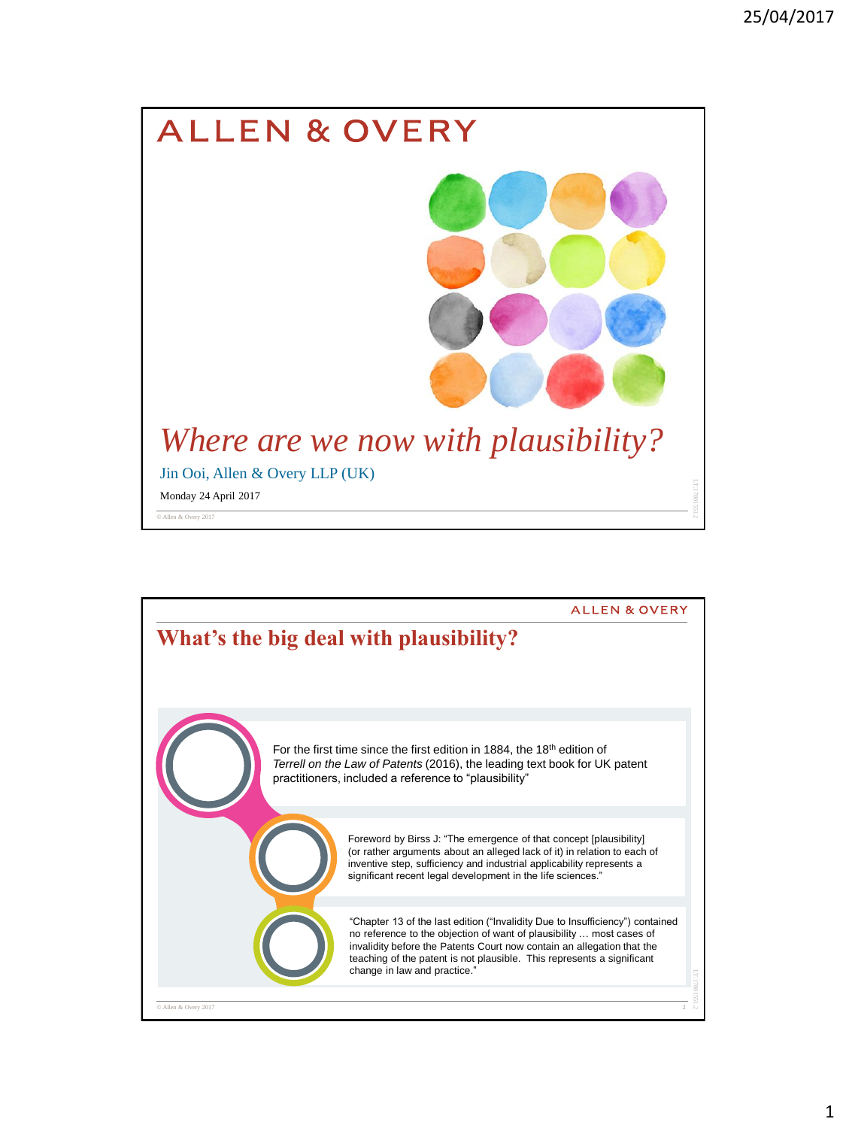

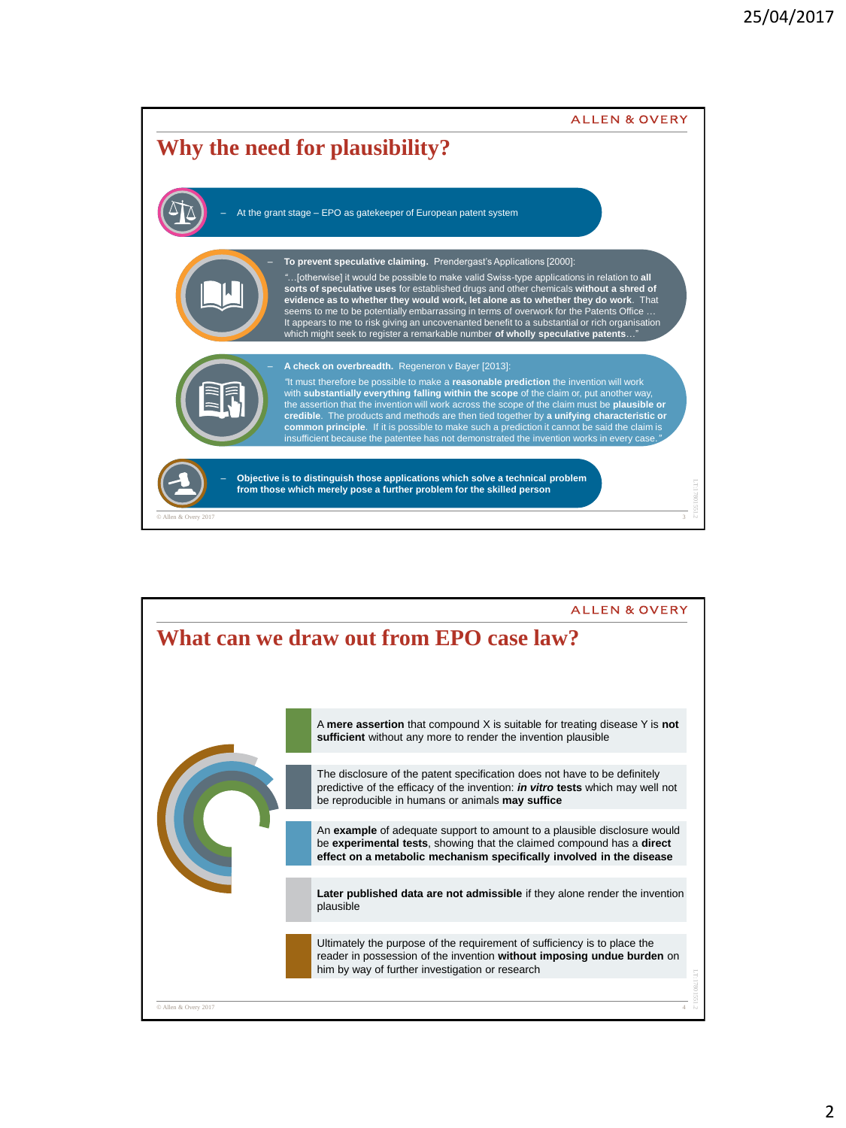

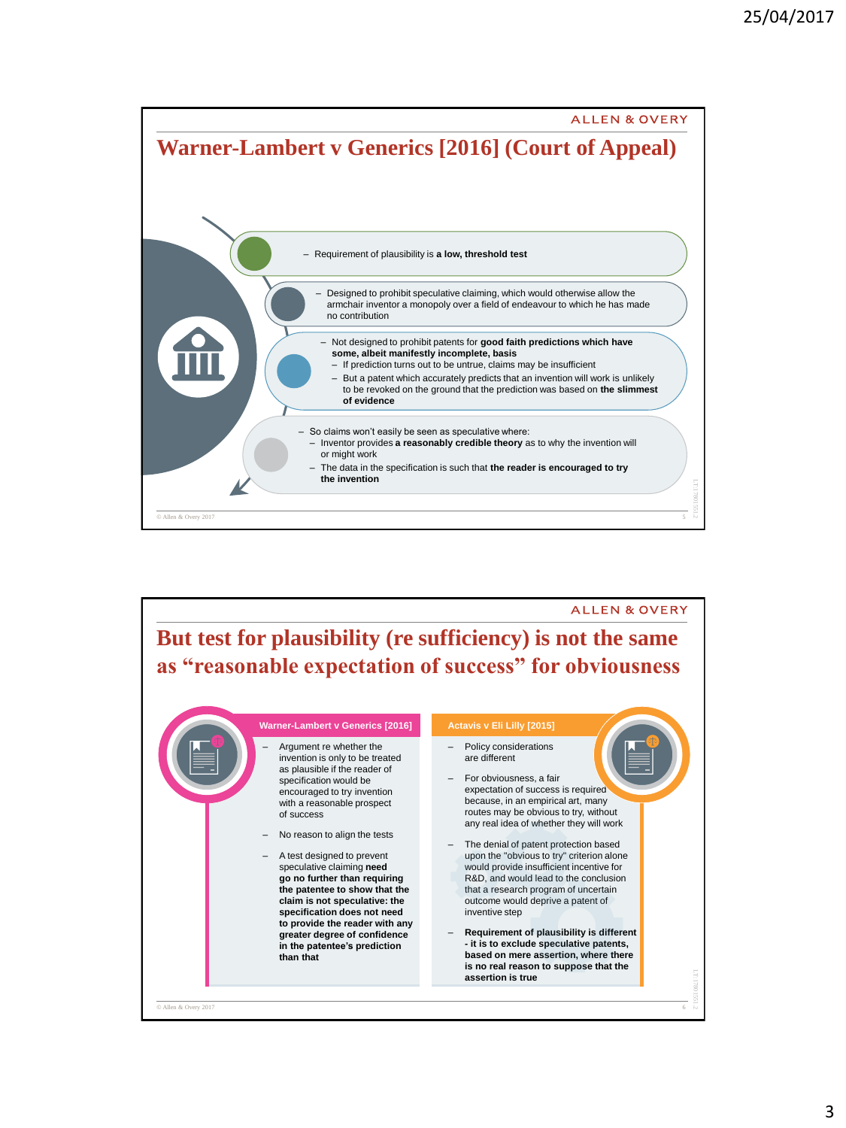

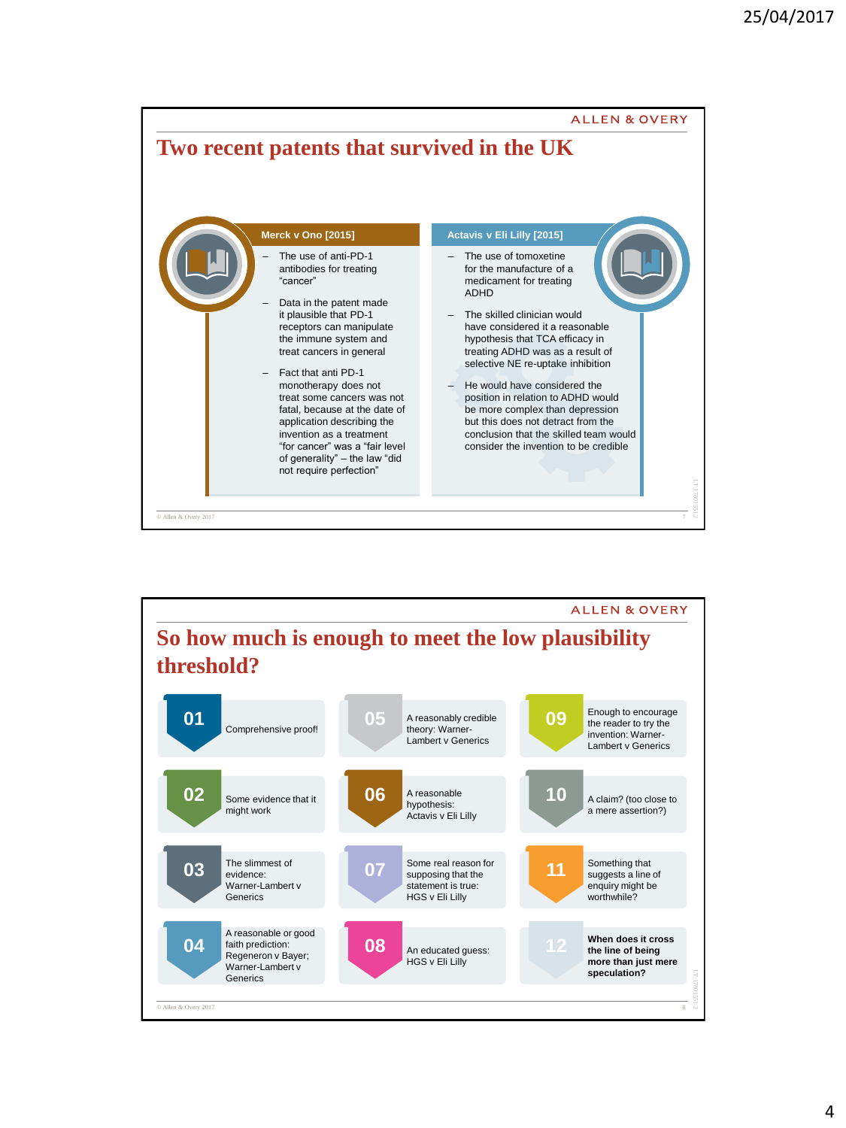